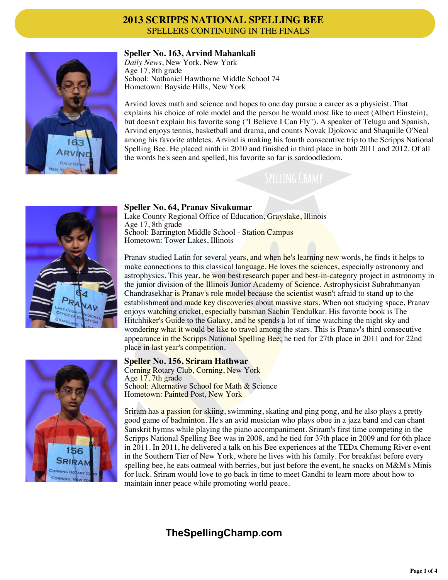

### **Speller No. 163, Arvind Mahankali**

*Daily News*, New York, New York Age 17, 8th grade School: Nathaniel Hawthorne Middle School 74 Hometown: Bayside Hills, New York

Arvind loves math and science and hopes to one day pursue a career as a physicist. That explains his choice of role model and the person he would most like to meet (Albert Einstein), but doesn't explain his favorite song ("I Believe I Can Fly"). A speaker of Telugu and Spanish, Arvind enjoys tennis, basketball and drama, and counts Novak Djokovic and Shaquille O'Neal among his favorite athletes. Arvind is making his fourth consecutive trip to the Scripps National Spelling Bee. He placed ninth in 2010 and finished in third place in both 2011 and 2012. Of all the words he's seen and spelled, his favorite so far is sardoodledom.



# **Speller No. 64, Pranav Sivakumar**

Lake County Regional Office of Education, Grayslake, Illinois Age 17, 8th grade School: Barrington Middle School - Station Campus Hometown: Tower Lakes, Illinois

Pranav studied Latin for several years, and when he's learning new words, he finds it helps to make connections to this classical language. He loves the sciences, especially astronomy and astrophysics. This year, he won best research paper and best-in-category project in astronomy in the junior division of the Illinois Junior Academy of Science. Astrophysicist Subrahmanyan Chandrasekhar is Pranav's role model because the scientist wasn't afraid to stand up to the establishment and made key discoveries about massive stars. When not studying space, Pranav enjoys watching cricket, especially batsman Sachin Tendulkar. His favorite book is The Hitchhiker's Guide to the Galaxy, and he spends a lot of time watching the night sky and wondering what it would be like to travel among the stars. This is Pranav's third consecutive appearance in the Scripps National Spelling Bee; he tied for 27th place in 2011 and for 22nd place in last year's competition.

#### **Speller No. 156, Sriram Hathwar**

Corning Rotary Club, Corning, New York Age 17, 7th grade School: Alternative School for Math & Science Hometown: Painted Post, New York

Sriram has a passion for skiing, swimming, skating and ping pong, and he also plays a pretty good game of badminton. He's an avid musician who plays oboe in a jazz band and can chant Sanskrit hymns while playing the piano accompaniment. Sriram's first time competing in the Scripps National Spelling Bee was in 2008, and he tied for 37th place in 2009 and for 6th place in 2011. In 2011, he delivered a talk on his Bee experiences at the TEDx Chemung River event in the Southern Tier of New York, where he lives with his family. For breakfast before every spelling bee, he eats oatmeal with berries, but just before the event, he snacks on M&M's Minis for luck. Sriram would love to go back in time to meet Gandhi to learn more about how to maintain inner peace while promoting world peace.



# **TheSpellingChamp.com**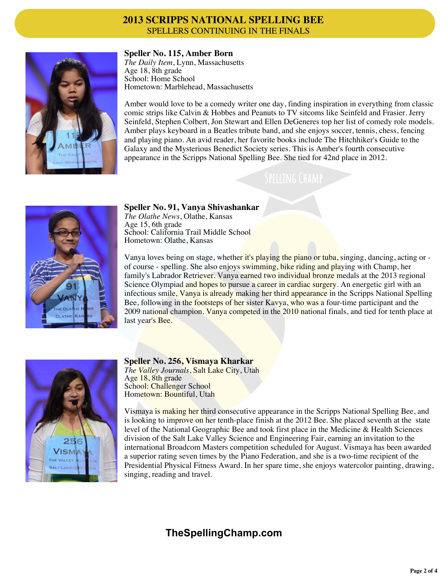

#### **Speller No. 115, Amber Born**

*The Daily Item*, Lynn, Massachusetts Age 18, 8th grade School: Home School Hometown: Marblehead, Massachusetts

Amber would love to be a comedy writer one day, finding inspiration in everything from classic comic strips like Calvin & Hobbes and Peanuts to TV sitcoms like Seinfeld and Frasier. Jerry Seinfeld, Stephen Colbert, Jon Stewart and Ellen DeGeneres top her list of comedy role models. Amber plays keyboard in a Beatles tribute band, and she enjoys soccer, tennis, chess, fencing and playing piano. An avid reader, her favorite books include The Hitchhiker's Guide to the Galaxy and the Mysterious Benedict Society series. This is Amber's fourth consecutive appearance in the Scripps National Spelling Bee. She tied for 42nd place in 2012.



**Speller No. 91, Vanya Shivashankar**

*The Olathe News*, Olathe, Kansas Age 15, 6th grade School: California Trail Middle School Hometown: Olathe, Kansas

Vanya loves being on stage, whether it's playing the piano or tuba, singing, dancing, acting or of course - spelling. She also enjoys swimming, bike riding and playing with Champ, her family's Labrador Retriever. Vanya earned two individual bronze medals at the 2013 regional Science Olympiad and hopes to pursue a career in cardiac surgery. An energetic girl with an infectious smile, Vanya is already making her third appearance in the Scripps National Spelling Bee, following in the footsteps of her sister Kavya, who was a four-time participant and the 2009 national champion. Vanya competed in the 2010 national finals, and tied for tenth place at last year's Bee.



#### **Speller No. 256, Vismaya Kharkar**

*The Valley Journals*, Salt Lake City, Utah Age 18, 8th grade School: Challenger School Hometown: Bountiful, Utah

Vismaya is making her third consecutive appearance in the Scripps National Spelling Bee, and is looking to improve on her tenth-place finish at the 2012 Bee. She placed seventh at the state level of the National Geographic Bee and took first place in the Medicine & Health Sciences division of the Salt Lake Valley Science and Engineering Fair, earning an invitation to the international Broadcom Masters competition scheduled for August. Vismaya has been awarded a superior rating seven times by the Piano Federation, and she is a two-time recipient of the Presidential Physical Fitness Award. In her spare time, she enjoys watercolor painting, drawing, singing, reading and travel.

# **TheSpellingChamp.com**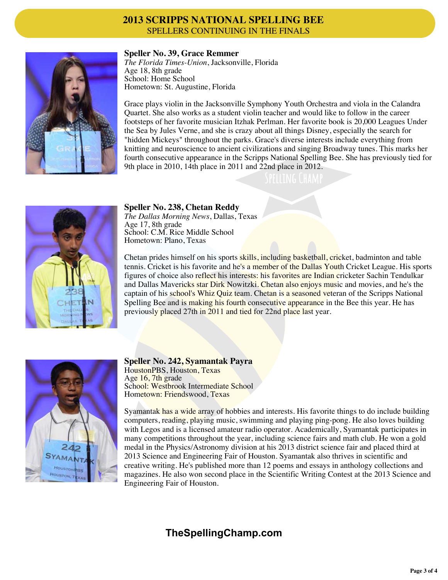

#### **Speller No. 39, Grace Remmer**

*The Florida Times-Union*, Jacksonville, Florida Age 18, 8th grade School: Home School Hometown: St. Augustine, Florida

Grace plays violin in the Jacksonville Symphony Youth Orchestra and viola in the Calandra Quartet. She also works as a student violin teacher and would like to follow in the career footsteps of her favorite musician Itzhak Perlman. Her favorite book is 20,000 Leagues Under the Sea by Jules Verne, and she is crazy about all things Disney, especially the search for "hidden Mickeys" throughout the parks. Grace's diverse interests include everything from knitting and neuroscience to ancient civilizations and singing Broadway tunes. This marks her fourth consecutive appearance in the Scripps National Spelling Bee. She has previously tied for 9th place in 2010, 14th place in 2011 and 22nd place in 2012.



### **Speller No. 238, Chetan Reddy**

*The Dallas Morning News*, Dallas, Texas Age 17, 8th grade School: C.M. Rice Middle School Hometown: Plano, Texas

Chetan prides himself on his sports skills, including basketball, cricket, badminton and table tennis. Cricket is his favorite and he's a member of the Dallas Youth Cricket League. His sports figures of choice also reflect his interests: his favorites are Indian cricketer Sachin Tendulkar and Dallas Mavericks star Dirk Nowitzki. Chetan also enjoys music and movies, and he's the captain of his school's Whiz Quiz team. Chetan is a seasoned veteran of the Scripps National Spelling Bee and is making his fourth consecutive appearance in the Bee this year. He has previously placed 27th in 2011 and tied for 22nd place last year.



#### **Speller No. 242, Syamantak Payra**

HoustonPBS, Houston, Texas Age 16, 7th grade School: Westbrook Intermediate School Hometown: Friendswood, Texas

Syamantak has a wide array of hobbies and interests. His favorite things to do include building computers, reading, playing music, swimming and playing ping-pong. He also loves building with Legos and is a licensed amateur radio operator. Academically, Syamantak participates in many competitions throughout the year, including science fairs and math club. He won a gold medal in the Physics/Astronomy division at his 2013 district science fair and placed third at 2013 Science and Engineering Fair of Houston. Syamantak also thrives in scientific and creative writing. He's published more than 12 poems and essays in anthology collections and magazines. He also won second place in the Scientific Writing Contest at the 2013 Science and Engineering Fair of Houston.

# **TheSpellingChamp.com**